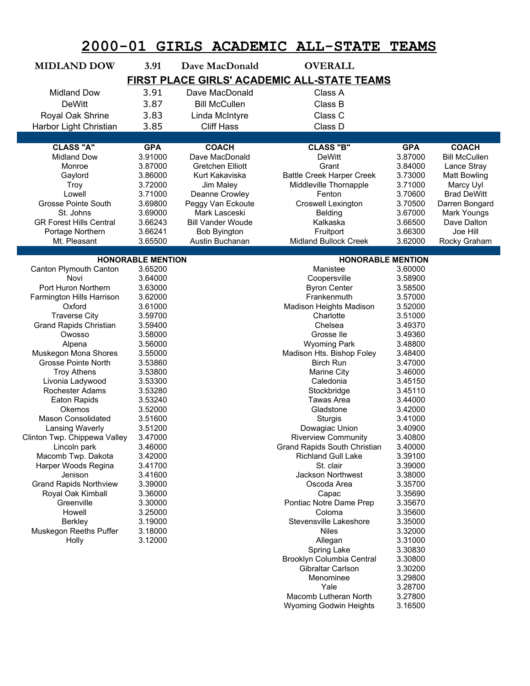| $2000 - 01$                                 |                          |  | GIRLS ACADEMIC                            |  | <b>ALL-STATE</b>                     | <b>TEAMS</b>             |                                     |  |  |  |
|---------------------------------------------|--------------------------|--|-------------------------------------------|--|--------------------------------------|--------------------------|-------------------------------------|--|--|--|
| <b>MIDLAND DOW</b>                          | 3.91                     |  | Dave MacDonald                            |  | <b>OVERALL</b>                       |                          |                                     |  |  |  |
| FIRST PLACE GIRLS' ACADEMIC ALL-STATE TEAMS |                          |  |                                           |  |                                      |                          |                                     |  |  |  |
| <b>Midland Dow</b>                          | 3.91                     |  | Dave MacDonald                            |  | Class A                              |                          |                                     |  |  |  |
| <b>DeWitt</b>                               | 3.87                     |  | <b>Bill McCullen</b>                      |  | Class B                              |                          |                                     |  |  |  |
| Royal Oak Shrine                            | 3.83                     |  | Linda McIntyre                            |  | Class C                              |                          |                                     |  |  |  |
| Harbor Light Christian                      | 3.85                     |  | <b>Cliff Hass</b>                         |  | Class D                              |                          |                                     |  |  |  |
|                                             |                          |  |                                           |  |                                      |                          |                                     |  |  |  |
| <b>CLASS "A"</b>                            | <b>GPA</b>               |  | <b>COACH</b>                              |  | <b>CLASS "B"</b>                     | <b>GPA</b>               | <b>COACH</b>                        |  |  |  |
| <b>Midland Dow</b><br>Monroe                | 3.91000<br>3.87000       |  | Dave MacDonald<br><b>Gretchen Elliott</b> |  | <b>DeWitt</b><br>Grant               | 3.87000<br>3.84000       | <b>Bill McCullen</b><br>Lance Stray |  |  |  |
| Gaylord                                     | 3.86000                  |  | Kurt Kakaviska                            |  | <b>Battle Creek Harper Creek</b>     | 3.73000                  | <b>Matt Bowling</b>                 |  |  |  |
| <b>Troy</b>                                 | 3.72000                  |  | Jim Maley                                 |  | Middleville Thornapple               | 3.71000                  | Marcy Uyl                           |  |  |  |
| Lowell                                      | 3.71000                  |  | Deanne Crowley                            |  | Fenton                               | 3.70600                  | <b>Brad DeWitt</b>                  |  |  |  |
| <b>Grosse Pointe South</b>                  | 3.69800                  |  | Peggy Van Eckoute                         |  | Croswell Lexington                   | 3.70500                  | Darren Bongard                      |  |  |  |
| St. Johns                                   | 3.69000                  |  | Mark Lasceski                             |  | <b>Belding</b>                       | 3.67000                  | Mark Youngs                         |  |  |  |
| <b>GR Forest Hills Central</b>              | 3.66243                  |  | <b>Bill Vander Woude</b>                  |  | Kalkaska                             | 3.66500                  | Dave Dalton                         |  |  |  |
| Portage Northern                            | 3.66241                  |  | <b>Bob Byington</b>                       |  | Fruitport                            | 3.66300                  | Joe Hill                            |  |  |  |
| Mt. Pleasant                                | 3.65500                  |  | Austin Buchanan                           |  | Midland Bullock Creek                | 3.62000                  | Rocky Graham                        |  |  |  |
|                                             | <b>HONORABLE MENTION</b> |  |                                           |  |                                      | <b>HONORABLE MENTION</b> |                                     |  |  |  |
| Canton Plymouth Canton                      | 3.65200                  |  |                                           |  | Manistee                             | 3.60000                  |                                     |  |  |  |
| Novi                                        | 3.64000                  |  |                                           |  | Coopersville                         | 3.58900                  |                                     |  |  |  |
| Port Huron Northern                         | 3.63000                  |  |                                           |  | <b>Byron Center</b>                  | 3.58500                  |                                     |  |  |  |
| Farmington Hills Harrison                   | 3.62000                  |  |                                           |  | Frankenmuth                          | 3.57000                  |                                     |  |  |  |
| Oxford<br><b>Traverse City</b>              | 3.61000<br>3.59700       |  |                                           |  | Madison Heights Madison<br>Charlotte | 3.52000<br>3.51000       |                                     |  |  |  |
| <b>Grand Rapids Christian</b>               | 3.59400                  |  |                                           |  | Chelsea                              | 3.49370                  |                                     |  |  |  |
| Owosso                                      | 3.58000                  |  |                                           |  | Grosse Ile                           | 3.49360                  |                                     |  |  |  |
| Alpena                                      | 3.56000                  |  |                                           |  | <b>Wyoming Park</b>                  | 3.48800                  |                                     |  |  |  |
| Muskegon Mona Shores                        | 3.55000                  |  |                                           |  | Madison Hts. Bishop Foley            | 3.48400                  |                                     |  |  |  |
| <b>Grosse Pointe North</b>                  | 3.53860                  |  |                                           |  | <b>Birch Run</b>                     | 3.47000                  |                                     |  |  |  |
| <b>Troy Athens</b>                          | 3.53800                  |  |                                           |  | <b>Marine City</b>                   | 3.46000                  |                                     |  |  |  |
| Livonia Ladywood                            | 3.53300                  |  |                                           |  | Caledonia                            | 3.45150                  |                                     |  |  |  |
| Rochester Adams<br>Eaton Rapids             | 3.53280<br>3.53240       |  |                                           |  | Stockbridge<br>Tawas Area            | 3.45110<br>3.44000       |                                     |  |  |  |
| Okemos                                      | 3.52000                  |  |                                           |  | Gladstone                            | 3.42000                  |                                     |  |  |  |
| <b>Mason Consolidated</b>                   | 3.51600                  |  |                                           |  | Sturgis                              | 3.41000                  |                                     |  |  |  |
| Lansing Waverly                             | 3.51200                  |  |                                           |  | Dowagiac Union                       | 3.40900                  |                                     |  |  |  |
| Clinton Twp. Chippewa Valley                | 3.47000                  |  |                                           |  | <b>Riverview Community</b>           | 3.40800                  |                                     |  |  |  |
| Lincoln park                                | 3.46000                  |  |                                           |  | Grand Rapids South Christian         | 3.40000                  |                                     |  |  |  |
| Macomb Twp. Dakota                          | 3.42000                  |  |                                           |  | <b>Richland Gull Lake</b>            | 3.39100                  |                                     |  |  |  |
| Harper Woods Regina                         | 3.41700                  |  |                                           |  | St. clair                            | 3.39000                  |                                     |  |  |  |
| Jenison<br><b>Grand Rapids Northview</b>    | 3.41600<br>3.39000       |  |                                           |  | Jackson Northwest<br>Oscoda Area     | 3.38000<br>3.35700       |                                     |  |  |  |
| Royal Oak Kimball                           | 3.36000                  |  |                                           |  | Capac                                | 3.35690                  |                                     |  |  |  |
| Greenville                                  | 3.30000                  |  |                                           |  | Pontiac Notre Dame Prep              | 3.35670                  |                                     |  |  |  |
| Howell                                      | 3.25000                  |  |                                           |  | Coloma                               | 3.35600                  |                                     |  |  |  |
| Berkley                                     | 3.19000                  |  |                                           |  | Stevensville Lakeshore               | 3.35000                  |                                     |  |  |  |
| Muskegon Reeths Puffer                      | 3.18000                  |  |                                           |  | <b>Niles</b>                         | 3.32000                  |                                     |  |  |  |
| Holly                                       | 3.12000                  |  |                                           |  | Allegan                              | 3.31000                  |                                     |  |  |  |
|                                             |                          |  |                                           |  | Spring Lake                          | 3.30830                  |                                     |  |  |  |
|                                             |                          |  |                                           |  | Brooklyn Columbia Central            | 3.30800                  |                                     |  |  |  |
|                                             |                          |  |                                           |  | Gibraltar Carlson<br>Menominee       | 3.30200<br>3.29800       |                                     |  |  |  |
|                                             |                          |  |                                           |  | Yale                                 | 3.28700                  |                                     |  |  |  |
|                                             |                          |  |                                           |  | Macomb Lutheran North                | 3.27800                  |                                     |  |  |  |

Wyoming Godwin Heights 3.16500